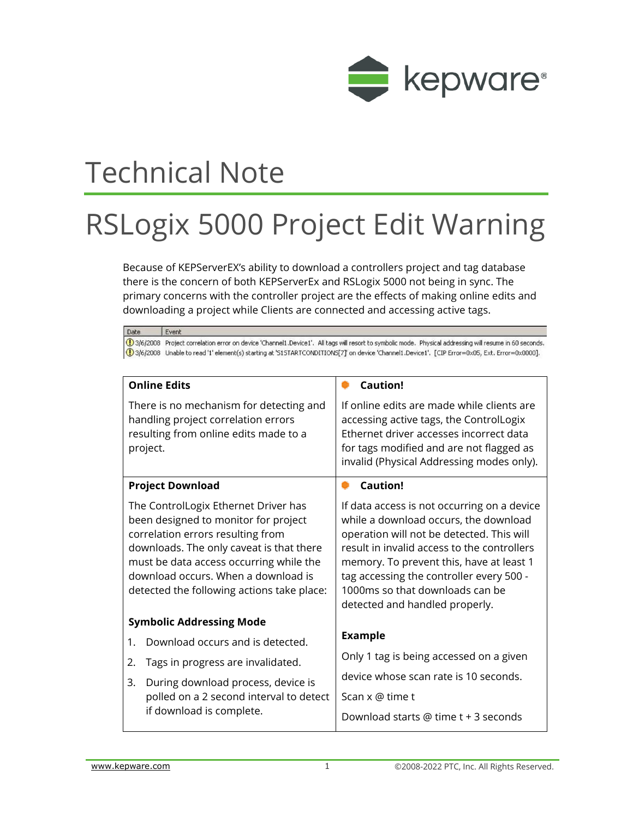

## Technical Note

## RSLogix 5000 Project Edit Warning

Because of KEPServerEX's ability to download a controllers project and tag database there is the concern of both KEPServerEx and RSLogix 5000 not being in sync. The primary concerns with the controller project are the effects of making online edits and downloading a project while Clients are connected and accessing active tags.

Date Fvent 16 3/6/2008 Project correlation error on device 'Channel1.Device1'. All tags will resort to symbolic mode. Physical addressing will resume in 60 seconds. 1) 3/6/2008 Unable to read '1' element(s) starting at '515TARTCONDITIONS[7]' on device 'Channel1.Device1'. [CIP Error=0x05, Ext. Error=0x0000]. **Online Edits Caution!** There is no mechanism for detecting and If online edits are made while clients are handling project correlation errors accessing active tags, the ControlLogix resulting from online edits made to a Ethernet driver accesses incorrect data project. for tags modified and are not flagged as invalid (Physical Addressing modes only). **Project Download** ۰ **Caution!** The ControlLogix Ethernet Driver has If data access is not occurring on a device while a download occurs, the download been designed to monitor for project correlation errors resulting from operation will not be detected. This will result in invalid access to the controllers downloads. The only caveat is that there must be data access occurring while the memory. To prevent this, have at least 1 download occurs. When a download is tag accessing the controller every 500 - 1000ms so that downloads can be detected the following actions take place: detected and handled properly. **Symbolic Addressing Mode Example** 1. Download occurs and is detected. Only 1 tag is being accessed on a given 2. Tags in progress are invalidated. device whose scan rate is 10 seconds. 3. During download process, device is polled on a 2 second interval to detect Scan x @ time t if download is complete. Download starts @ time t + 3 seconds